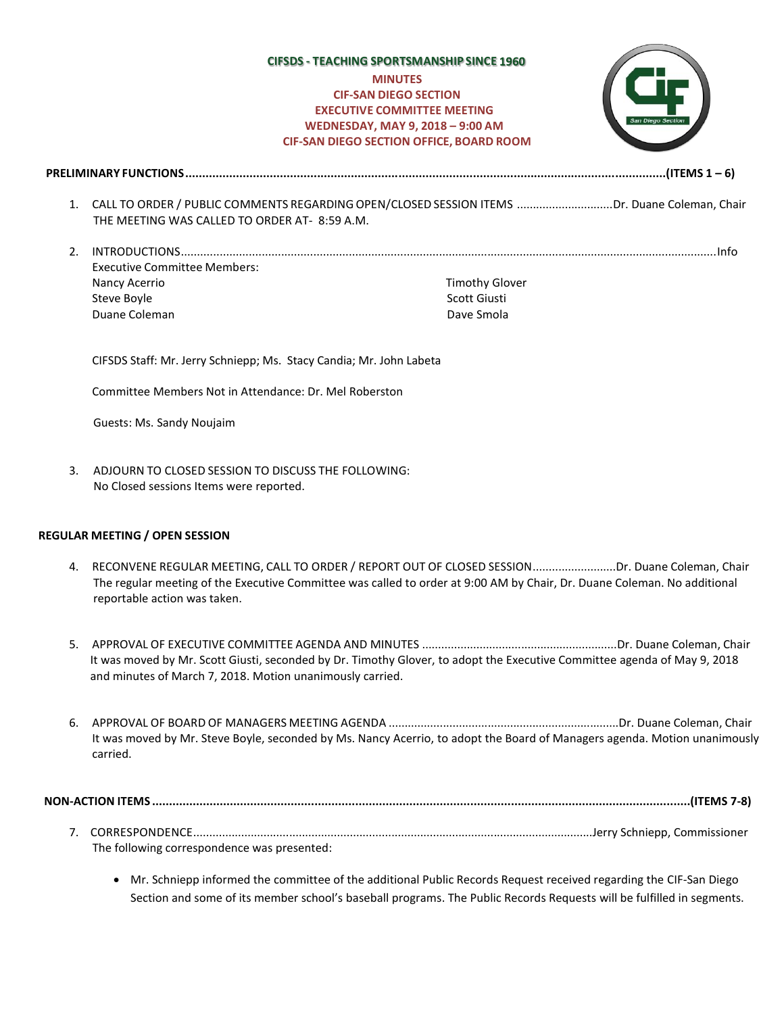# **CIFSDS - TEACHING SPORTSMANSHIP SINCE** *MINUTES* **MINUTES CIF-SAN DIEGO SECTION EXECUTIVE COMMITTEE MEETING WEDNESDAY, MAY 9, 2018 – 9:00 AM CIF-SAN DIEGO SECTION OFFICE, BOARD ROOM**



**PRELIMINARY FUNCTIONS..............................................................................................................................................(ITEMS 1 – 6)**

- 1. CALL TO ORDER / PUBLIC COMMENTS REGARDINGOPEN/CLOSED SESSION ITEMS ..............................Dr. Duane Coleman, Chair THE MEETING WAS CALLED TO ORDER AT- 8:59 A.M.
- 2. INTRODUCTIONS......................................................................................................................................................................Info Executive Committee Members: Nancy Acerrio Steve Boyle Duane Coleman Timothy Glover Scott Giusti Dave Smola

CIFSDS Staff: Mr. Jerry Schniepp; Ms. Stacy Candia; Mr. John Labeta

Committee Members Not in Attendance: Dr. Mel Roberston

Guests: Ms. Sandy Noujaim

3. ADJOURN TO CLOSED SESSION TO DISCUSS THE FOLLOWING: No Closed sessions Items were reported.

## **REGULAR MEETING / OPEN SESSION**

- 4. RECONVENE REGULAR MEETING, CALL TO ORDER / REPORT OUT OF CLOSED SESSION..........................Dr. Duane Coleman, Chair The regular meeting of the Executive Committee was called to order at 9:00 AM by Chair, Dr. Duane Coleman. No additional reportable action was taken.
- 5. APPROVAL OF EXECUTIVE COMMITTEE AGENDA AND MINUTES .............................................................Dr. Duane Coleman, Chair It was moved by Mr. Scott Giusti, seconded by Dr. Timothy Glover, to adopt the Executive Committee agenda of May 9, 2018 and minutes of March 7, 2018. Motion unanimously carried.
- 6. APPROVAL OF BOARD OF MANAGERS MEETING AGENDA ........................................................................Dr. Duane Coleman, Chair It was moved by Mr. Steve Boyle, seconded by Ms. Nancy Acerrio, to adopt the Board of Managers agenda. Motion unanimously carried.

**NON-ACTION ITEMS ...............................................................................................................................................................(ITEMS 7-8)**

- 7. CORRESPONDENCE.............................................................................................................................Jerry Schniepp, Commissioner The following correspondence was presented:
	- Mr. Schniepp informed the committee of the additional Public Records Request received regarding the CIF-San Diego Section and some of its member school's baseball programs. The Public Records Requests will be fulfilled in segments.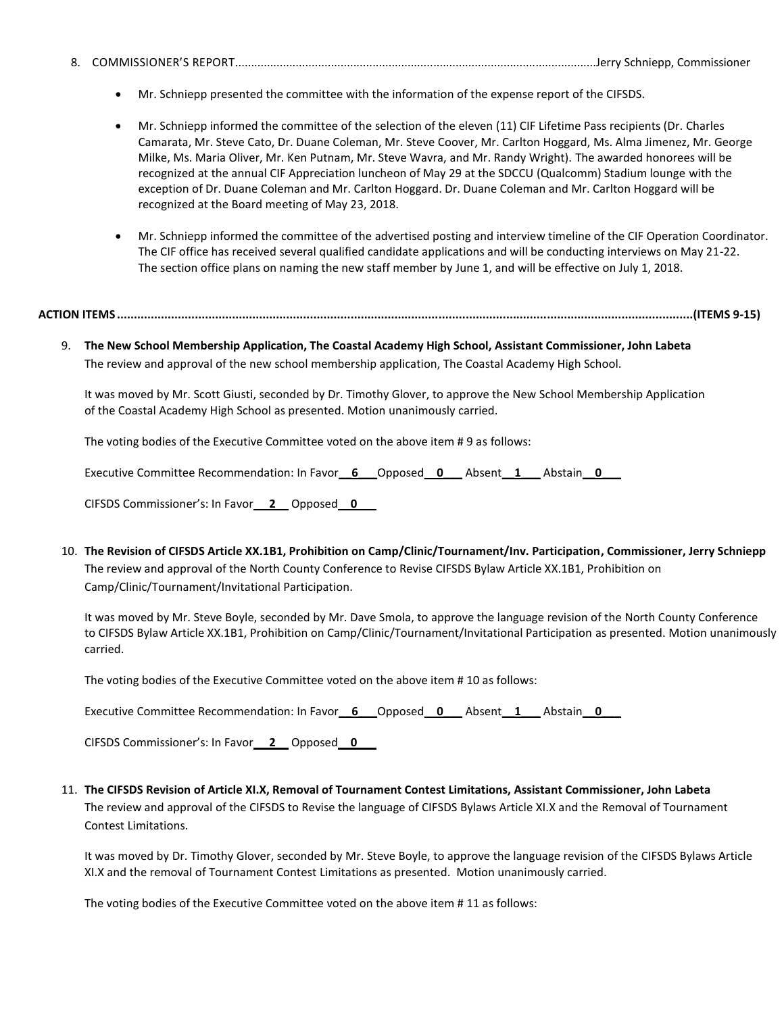- 8. COMMISSIONER'S REPORT.................................................................................................................Jerry Schniepp, Commissioner
	- Mr. Schniepp presented the committee with the information of the expense report of the CIFSDS.
	- Mr. Schniepp informed the committee of the selection of the eleven (11) CIF Lifetime Pass recipients (Dr. Charles Camarata, Mr. Steve Cato, Dr. Duane Coleman, Mr. Steve Coover, Mr. Carlton Hoggard, Ms. Alma Jimenez, Mr. George Milke, Ms. Maria Oliver, Mr. Ken Putnam, Mr. Steve Wavra, and Mr. Randy Wright). The awarded honorees will be recognized at the annual CIF Appreciation luncheon of May 29 at the SDCCU (Qualcomm) Stadium lounge with the exception of Dr. Duane Coleman and Mr. Carlton Hoggard. Dr. Duane Coleman and Mr. Carlton Hoggard will be recognized at the Board meeting of May 23, 2018.
	- Mr. Schniepp informed the committee of the advertised posting and interview timeline of the CIF Operation Coordinator. The CIF office has received several qualified candidate applications and will be conducting interviews on May 21-22. The section office plans on naming the new staff member by June 1, and will be effective on July 1, 2018.

## **ACTION ITEMS ..........................................................................................................................................................................(ITEMS 9-15)**

9. **The New School Membership Application, The Coastal Academy High School, Assistant Commissioner, John Labeta** The review and approval of the new school membership application, The Coastal Academy High School.

It was moved by Mr. Scott Giusti, seconded by Dr. Timothy Glover, to approve the New School Membership Application of the Coastal Academy High School as presented. Motion unanimously carried.

The voting bodies of the Executive Committee voted on the above item # 9 as follows:

Executive Committee Recommendation: In Favor\_\_6\_\_\_\_Opposed\_\_\_\_\_\_\_\_\_\_\_Absent\_\_1\_\_\_\_Abstain\_\_\_\_\_\_\_\_\_\_

CIFSDS Commissioner's: In Favor\_\_ **2**\_\_ Opposed\_\_**0**\_\_\_

10. **The Revision of CIFSDS Article XX.1B1, Prohibition on Camp/Clinic/Tournament/Inv. Participation, Commissioner, Jerry Schniepp**  The review and approval of the North County Conference to Revise CIFSDS Bylaw Article XX.1B1, Prohibition on Camp/Clinic/Tournament/Invitational Participation.

It was moved by Mr. Steve Boyle, seconded by Mr. Dave Smola, to approve the language revision of the North County Conference to CIFSDS Bylaw Article XX.1B1, Prohibition on Camp/Clinic/Tournament/Invitational Participation as presented. Motion unanimously carried.

The voting bodies of the Executive Committee voted on the above item # 10 as follows:

Executive Committee Recommendation: In Favor**\_\_6\_\_\_**Opposed\_\_**0\_\_\_** Absent**\_\_1\_\_\_** Abstain**\_\_0\_\_\_**

CIFSDS Commissioner's: In Favor\_\_ **2**\_\_ Opposed\_\_**0**\_\_\_

11. **The CIFSDS Revision of Article XI.X, Removal of Tournament Contest Limitations, Assistant Commissioner, John Labeta** The review and approval of the CIFSDS to Revise the language of CIFSDS Bylaws Article XI.X and the Removal of Tournament Contest Limitations.

It was moved by Dr. Timothy Glover, seconded by Mr. Steve Boyle, to approve the language revision of the CIFSDS Bylaws Article XI.X and the removal of Tournament Contest Limitations as presented. Motion unanimously carried.

The voting bodies of the Executive Committee voted on the above item # 11 as follows: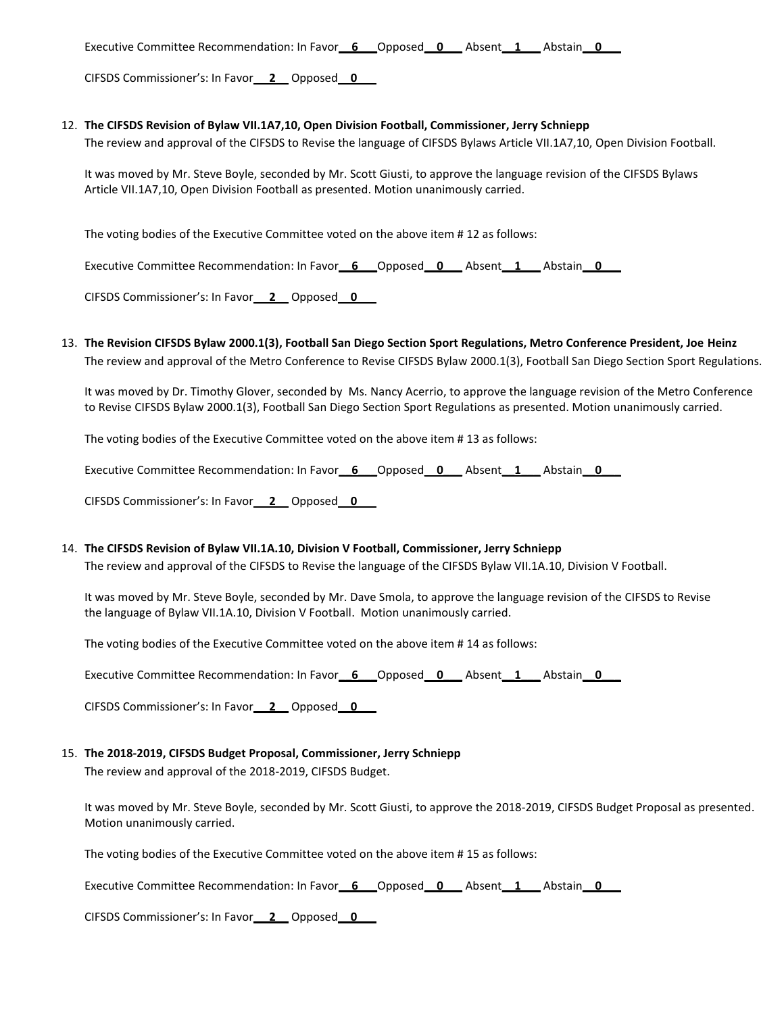Executive Committee Recommendation: In Favor**\_\_6\_\_\_**Opposed\_\_**0\_\_\_** Absent**\_\_1\_\_\_** Abstain**\_\_0\_\_\_**

CIFSDS Commissioner's: In Favor\_\_ **2**\_\_ Opposed\_\_**0**\_\_\_

#### 12. **The CIFSDS Revision of Bylaw VII.1A7,10, Open Division Football, Commissioner, Jerry Schniepp**

The review and approval of the CIFSDS to Revise the language of CIFSDS Bylaws Article VII.1A7,10, Open Division Football.

It was moved by Mr. Steve Boyle, seconded by Mr. Scott Giusti, to approve the language revision of the CIFSDS Bylaws Article VII.1A7,10, Open Division Football as presented. Motion unanimously carried.

The voting bodies of the Executive Committee voted on the above item # 12 as follows:

Executive Committee Recommendation: In Favor\_\_6\_\_\_\_Opposed\_\_0\_\_\_\_\_Absent\_\_1\_\_\_\_Abstain\_\_0\_\_\_\_\_\_\_\_\_\_\_\_\_\_\_\_\_\_\_\_\_\_

CIFSDS Commissioner's: In Favor\_\_ **2**\_\_ Opposed\_\_**0**\_\_\_

13. **The Revision CIFSDS Bylaw 2000.1(3), Football San Diego Section Sport Regulations, Metro Conference President, Joe Heinz** The review and approval of the Metro Conference to Revise CIFSDS Bylaw 2000.1(3), Football San Diego Section Sport Regulations.

It was moved by Dr. Timothy Glover, seconded by Ms. Nancy Acerrio, to approve the language revision of the Metro Conference to Revise CIFSDS Bylaw 2000.1(3), Football San Diego Section Sport Regulations as presented. Motion unanimously carried.

The voting bodies of the Executive Committee voted on the above item # 13 as follows:

Executive Committee Recommendation: In Favor\_\_6\_\_\_\_Opposed\_\_0\_\_\_\_\_Absent\_\_1\_\_\_\_Abstain\_\_0\_\_\_\_

CIFSDS Commissioner's: In Favor\_\_ **2**\_\_ Opposed\_\_**0**\_\_\_

#### 14. **The CIFSDS Revision of Bylaw VII.1A.10, Division V Football, Commissioner, Jerry Schniepp**

The review and approval of the CIFSDS to Revise the language of the CIFSDS Bylaw VII.1A.10, Division V Football.

It was moved by Mr. Steve Boyle, seconded by Mr. Dave Smola, to approve the language revision of the CIFSDS to Revise the language of Bylaw VII.1A.10, Division V Football. Motion unanimously carried.

The voting bodies of the Executive Committee voted on the above item # 14 as follows:

Executive Committee Recommendation: In Favor**\_\_6\_\_\_**Opposed\_\_**0\_\_\_** Absent**\_\_1\_\_\_** Abstain**\_\_0\_\_\_**

CIFSDS Commissioner's: In Favor\_\_ **2**\_\_ Opposed\_\_**0**\_\_\_

#### 15. **The 2018-2019, CIFSDS Budget Proposal, Commissioner, Jerry Schniepp**

The review and approval of the 2018-2019, CIFSDS Budget.

It was moved by Mr. Steve Boyle, seconded by Mr. Scott Giusti, to approve the 2018-2019, CIFSDS Budget Proposal as presented. Motion unanimously carried.

The voting bodies of the Executive Committee voted on the above item # 15 as follows:

Executive Committee Recommendation: In Favor**\_\_6\_\_\_**Opposed\_\_**0\_\_\_** Absent**\_\_1\_\_\_** Abstain**\_\_0\_\_\_**

CIFSDS Commissioner's: In Favor\_\_ **2**\_\_ Opposed\_\_**0**\_\_\_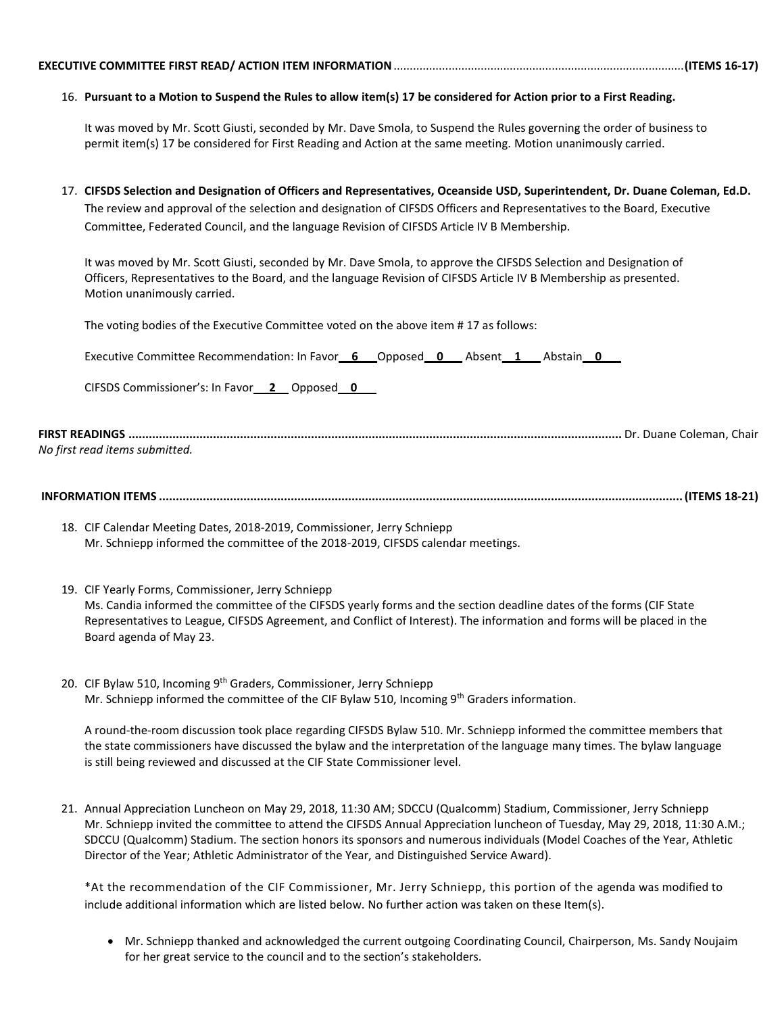### 16. **Pursuant to a Motion to Suspend the Rules to allow item(s) 17 be considered for Action prior to a First Reading.**

It was moved by Mr. Scott Giusti, seconded by Mr. Dave Smola, to Suspend the Rules governing the order of business to permit item(s) 17 be considered for First Reading and Action at the same meeting. Motion unanimously carried.

17. **CIFSDS Selection and Designation of Officers and Representatives, Oceanside USD, Superintendent, Dr. Duane Coleman, Ed.D.** The review and approval of the selection and designation of CIFSDS Officers and Representatives to the Board, Executive Committee, Federated Council, and the language Revision of CIFSDS Article IV B Membership.

It was moved by Mr. Scott Giusti, seconded by Mr. Dave Smola, to approve the CIFSDS Selection and Designation of Officers, Representatives to the Board, and the language Revision of CIFSDS Article IV B Membership as presented. Motion unanimously carried.

The voting bodies of the Executive Committee voted on the above item # 17 as follows:

Executive Committee Recommendation: In Favor**\_\_6\_\_\_**Opposed\_\_**0\_\_\_** Absent**\_\_1\_\_\_** Abstain**\_\_0\_\_\_**

CIFSDS Commissioner's: In Favor\_\_ **2**\_\_ Opposed\_\_**0**\_\_\_

**FIRST READINGS ..................................................................................................................................................** Dr. Duane Coleman, Chair *No first read items submitted.*

**INFORMATION ITEMS ...........................................................................................................................................................(ITEMS 18-21)**

- 18. CIF Calendar Meeting Dates, 2018-2019, Commissioner, Jerry Schniepp Mr. Schniepp informed the committee of the 2018-2019, CIFSDS calendar meetings.
- 19. CIF Yearly Forms, Commissioner, Jerry Schniepp Ms. Candia informed the committee of the CIFSDS yearly forms and the section deadline dates of the forms (CIF State Representatives to League, CIFSDS Agreement, and Conflict of Interest). The information and forms will be placed in the Board agenda of May 23.
- 20. CIF Bylaw 510, Incoming 9<sup>th</sup> Graders, Commissioner, Jerry Schniepp Mr. Schniepp informed the committee of the CIF Bylaw 510, Incoming 9th Graders information.

A round-the-room discussion took place regarding CIFSDS Bylaw 510. Mr. Schniepp informed the committee members that the state commissioners have discussed the bylaw and the interpretation of the language many times. The bylaw language is still being reviewed and discussed at the CIF State Commissioner level.

21. Annual Appreciation Luncheon on May 29, 2018, 11:30 AM; SDCCU (Qualcomm) Stadium, Commissioner, Jerry Schniepp Mr. Schniepp invited the committee to attend the CIFSDS Annual Appreciation luncheon of Tuesday, May 29, 2018, 11:30 A.M.; SDCCU (Qualcomm) Stadium. The section honors its sponsors and numerous individuals (Model Coaches of the Year, Athletic Director of the Year; Athletic Administrator of the Year, and Distinguished Service Award).

\*At the recommendation of the CIF Commissioner, Mr. Jerry Schniepp, this portion of the agenda was modified to include additional information which are listed below. No further action was taken on these Item(s).

• Mr. Schniepp thanked and acknowledged the current outgoing Coordinating Council, Chairperson, Ms. Sandy Noujaim for her great service to the council and to the section's stakeholders.